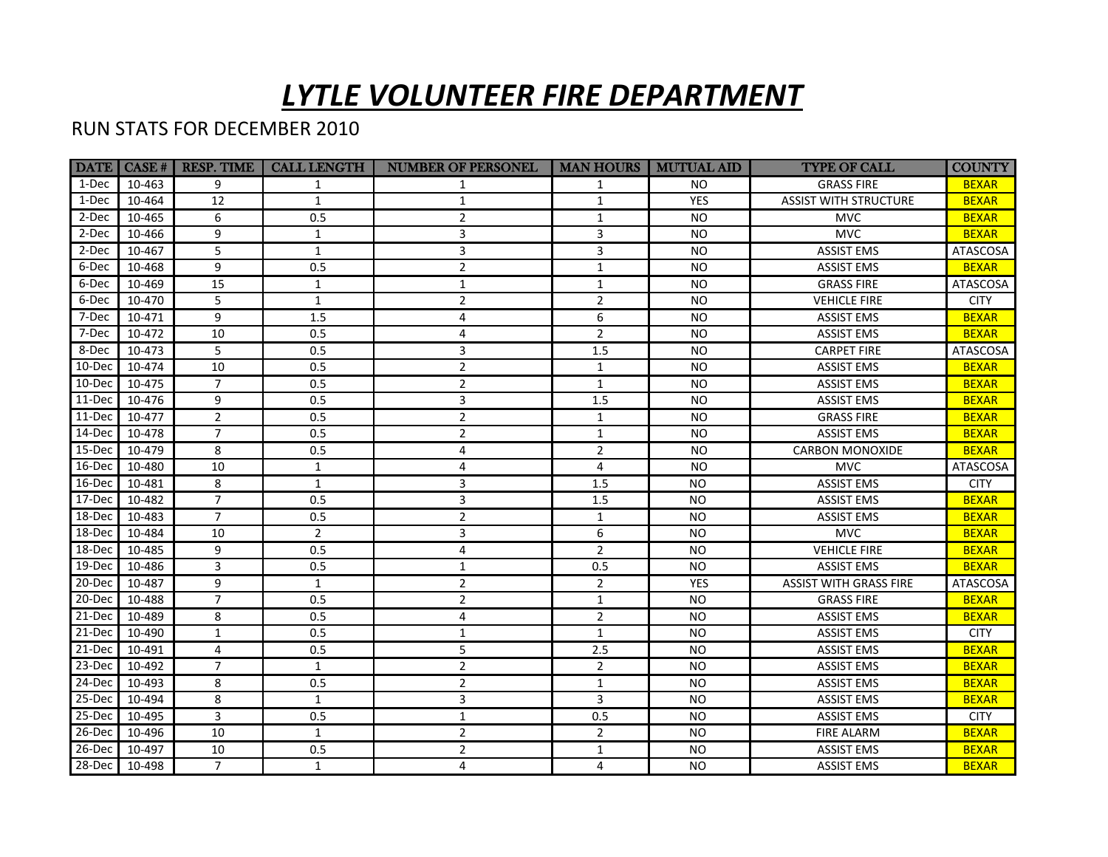## *LYTLE VOLUNTEER FIRE DEPARTMENT*

## RUN STATS FOR DECEMBER 2010

|            | DATE   CASE # | <b>RESP. TIME</b> | <b>CALL LENGTH</b> | <b>NUMBER OF PERSONEL</b> | MAN HOURS   MUTUAL AID |            | <b>TYPE OF CALL</b>           | <b>COUNTY</b>   |
|------------|---------------|-------------------|--------------------|---------------------------|------------------------|------------|-------------------------------|-----------------|
| 1-Dec      | 10-463        | 9                 | 1                  | 1                         | $\mathbf{1}$           | NO.        | <b>GRASS FIRE</b>             | <b>BEXAR</b>    |
| 1-Dec      | 10-464        | 12                | $\mathbf{1}$       | $\mathbf{1}$              | $\mathbf{1}$           | <b>YES</b> | <b>ASSIST WITH STRUCTURE</b>  | <b>BEXAR</b>    |
| 2-Dec      | 10-465        | 6                 | 0.5                | $\overline{2}$            | $\mathbf{1}$           | <b>NO</b>  | <b>MVC</b>                    | <b>BEXAR</b>    |
| 2-Dec      | 10-466        | 9                 | $\mathbf{1}$       | 3                         | 3                      | <b>NO</b>  | <b>MVC</b>                    | <b>BEXAR</b>    |
| 2-Dec      | 10-467        | 5                 | $\mathbf{1}$       | 3                         | 3                      | <b>NO</b>  | <b>ASSIST EMS</b>             | ATASCOSA        |
| 6-Dec      | 10-468        | 9                 | 0.5                | $\overline{2}$            | $\mathbf{1}$           | <b>NO</b>  | <b>ASSIST EMS</b>             | <b>BEXAR</b>    |
| 6-Dec      | 10-469        | 15                | $\mathbf{1}$       | $\mathbf{1}$              | $\mathbf{1}$           | <b>NO</b>  | <b>GRASS FIRE</b>             | ATASCOSA        |
| 6-Dec      | 10-470        | 5                 | $\mathbf{1}$       | $\overline{2}$            | $\overline{2}$         | <b>NO</b>  | <b>VEHICLE FIRE</b>           | <b>CITY</b>     |
| 7-Dec      | 10-471        | 9                 | $1.5\,$            | 4                         | 6                      | <b>NO</b>  | <b>ASSIST EMS</b>             | <b>BEXAR</b>    |
| 7-Dec      | 10-472        | 10                | 0.5                | 4                         | $\overline{2}$         | <b>NO</b>  | <b>ASSIST EMS</b>             | <b>BEXAR</b>    |
| 8-Dec      | 10-473        | 5                 | 0.5                | 3                         | 1.5                    | <b>NO</b>  | <b>CARPET FIRE</b>            | <b>ATASCOSA</b> |
| 10-Dec     | 10-474        | 10                | 0.5                | $\overline{2}$            | $\mathbf{1}$           | <b>NO</b>  | <b>ASSIST EMS</b>             | <b>BEXAR</b>    |
| 10-Dec     | 10-475        | $\overline{7}$    | 0.5                | $\overline{2}$            | $\mathbf{1}$           | <b>NO</b>  | <b>ASSIST EMS</b>             | <b>BEXAR</b>    |
| 11-Dec     | 10-476        | 9                 | 0.5                | 3                         | 1.5                    | <b>NO</b>  | <b>ASSIST EMS</b>             | <b>BEXAR</b>    |
| $11-Dec$   | 10-477        | $\overline{2}$    | 0.5                | $\overline{2}$            | $\mathbf{1}$           | NO.        | <b>GRASS FIRE</b>             | <b>BEXAR</b>    |
| 14-Dec     | 10-478        | $\overline{7}$    | 0.5                | $\overline{2}$            | $\mathbf{1}$           | NO.        | <b>ASSIST EMS</b>             | <b>BEXAR</b>    |
| 15-Dec     | 10-479        | 8                 | 0.5                | 4                         | $\overline{2}$         | <b>NO</b>  | <b>CARBON MONOXIDE</b>        | <b>BEXAR</b>    |
| $16$ -Dec  | 10-480        | 10                | 1                  | 4                         | 4                      | <b>NO</b>  | <b>MVC</b>                    | <b>ATASCOSA</b> |
| 16-Dec     | 10-481        | 8                 | $\mathbf{1}$       | 3                         | 1.5                    | <b>NO</b>  | <b>ASSIST EMS</b>             | <b>CITY</b>     |
| 17-Dec     | 10-482        | $\overline{7}$    | 0.5                | 3                         | 1.5                    | NO.        | <b>ASSIST EMS</b>             | <b>BEXAR</b>    |
| 18-Dec     | 10-483        | $\overline{7}$    | 0.5                | $\overline{2}$            | $\mathbf{1}$           | <b>NO</b>  | <b>ASSIST EMS</b>             | <b>BEXAR</b>    |
| 18-Dec     | 10-484        | 10                | $\overline{2}$     | 3                         | 6                      | <b>NO</b>  | <b>MVC</b>                    | <b>BEXAR</b>    |
| 18-Dec     | 10-485        | 9                 | 0.5                | 4                         | $\overline{2}$         | <b>NO</b>  | <b>VEHICLE FIRE</b>           | <b>BEXAR</b>    |
| 19-Dec     | 10-486        | 3                 | 0.5                | $\mathbf{1}$              | 0.5                    | <b>NO</b>  | <b>ASSIST EMS</b>             | <b>BEXAR</b>    |
| 20-Dec     | 10-487        | 9                 | 1                  | $\overline{2}$            | $\overline{2}$         | <b>YES</b> | <b>ASSIST WITH GRASS FIRE</b> | ATASCOSA        |
| 20-Dec     | 10-488        | $\overline{7}$    | 0.5                | $\overline{2}$            | $\mathbf{1}$           | <b>NO</b>  | <b>GRASS FIRE</b>             | <b>BEXAR</b>    |
| 21-Dec     | 10-489        | 8                 | 0.5                | 4                         | $\overline{2}$         | <b>NO</b>  | <b>ASSIST EMS</b>             | <b>BEXAR</b>    |
| $21-Dec$   | 10-490        | $\mathbf{1}$      | 0.5                | $\mathbf{1}$              | $\mathbf{1}$           | <b>NO</b>  | <b>ASSIST EMS</b>             | <b>CITY</b>     |
| 21-Dec     | 10-491        | $\overline{4}$    | 0.5                | 5                         | 2.5                    | <b>NO</b>  | <b>ASSIST EMS</b>             | <b>BEXAR</b>    |
| 23-Dec     | 10-492        | $\overline{7}$    | $\mathbf{1}$       | $\overline{2}$            | $\overline{2}$         | <b>NO</b>  | <b>ASSIST EMS</b>             | <b>BEXAR</b>    |
| 24-Dec     | 10-493        | 8                 | 0.5                | $\overline{2}$            | $\mathbf{1}$           | <b>NO</b>  | <b>ASSIST EMS</b>             | <b>BEXAR</b>    |
| 25-Dec     | 10-494        | 8                 | $\mathbf{1}$       | 3                         | 3                      | <b>NO</b>  | <b>ASSIST EMS</b>             | <b>BEXAR</b>    |
| 25-Dec     | 10-495        | 3                 | 0.5                | $\mathbf{1}$              | 0.5                    | NO.        | <b>ASSIST EMS</b>             | <b>CITY</b>     |
| 26-Dec     | 10-496        | 10                | $\mathbf{1}$       | $\overline{2}$            | $\overline{2}$         | <b>NO</b>  | <b>FIRE ALARM</b>             | <b>BEXAR</b>    |
| $26 - Dec$ | 10-497        | 10                | 0.5                | $\overline{2}$            | $\mathbf{1}$           | <b>NO</b>  | <b>ASSIST EMS</b>             | <b>BEXAR</b>    |
| 28-Dec     | 10-498        | $\overline{7}$    | $\mathbf{1}$       | 4                         | 4                      | NO.        | <b>ASSIST EMS</b>             | <b>BEXAR</b>    |